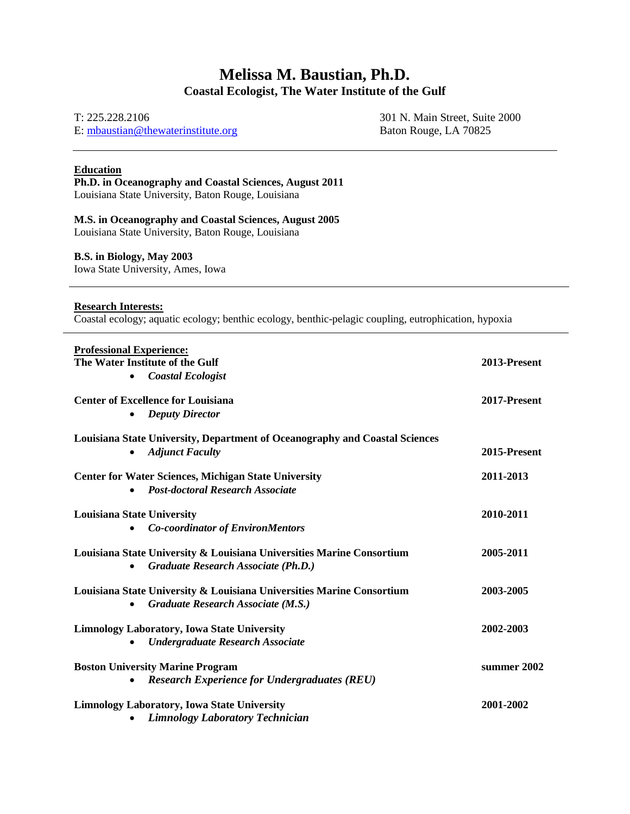# **Melissa M. Baustian, Ph.D. Coastal Ecologist, The Water Institute of the Gulf**

T: 225.228.2106

E: [mbaustian@thewaterinstitute.org](mailto:mbaustian@thewaterinstitute.org)

301 N. Main Street, Suite 2000 Baton Rouge, LA 70825

## **Education**

**Ph.D. in Oceanography and Coastal Sciences, August 2011**

Louisiana State University, Baton Rouge, Louisiana

## **M.S. in Oceanography and Coastal Sciences, August 2005**

Louisiana State University, Baton Rouge, Louisiana

#### **B.S. in Biology, May 2003**

Iowa State University, Ames, Iowa

## **Research Interests:**

Coastal ecology; aquatic ecology; benthic ecology, benthic-pelagic coupling, eutrophication, hypoxia

| <b>Professional Experience:</b><br>The Water Institute of the Gulf<br><b>Coastal Ecologist</b><br>$\bullet$               | 2013-Present |
|---------------------------------------------------------------------------------------------------------------------------|--------------|
| <b>Center of Excellence for Louisiana</b><br><b>Deputy Director</b><br>$\bullet$                                          | 2017-Present |
| Louisiana State University, Department of Oceanography and Coastal Sciences<br><b>Adjunct Faculty</b><br>٠                | 2015-Present |
| <b>Center for Water Sciences, Michigan State University</b><br><b>Post-doctoral Research Associate</b><br>$\bullet$       | 2011-2013    |
| <b>Louisiana State University</b><br><b>Co-coordinator of EnvironMentors</b>                                              | 2010-2011    |
| Louisiana State University & Louisiana Universities Marine Consortium<br>Graduate Research Associate (Ph.D.)<br>$\bullet$ | 2005-2011    |
| Louisiana State University & Louisiana Universities Marine Consortium<br>Graduate Research Associate (M.S.)<br>$\bullet$  | 2003-2005    |
| <b>Limnology Laboratory, Iowa State University</b><br><b>Undergraduate Research Associate</b>                             | 2002-2003    |
| <b>Boston University Marine Program</b><br><b>Research Experience for Undergraduates (REU)</b><br>$\bullet$               | summer 2002  |
| <b>Limnology Laboratory, Iowa State University</b><br><b>Limnology Laboratory Technician</b><br>$\bullet$                 | 2001-2002    |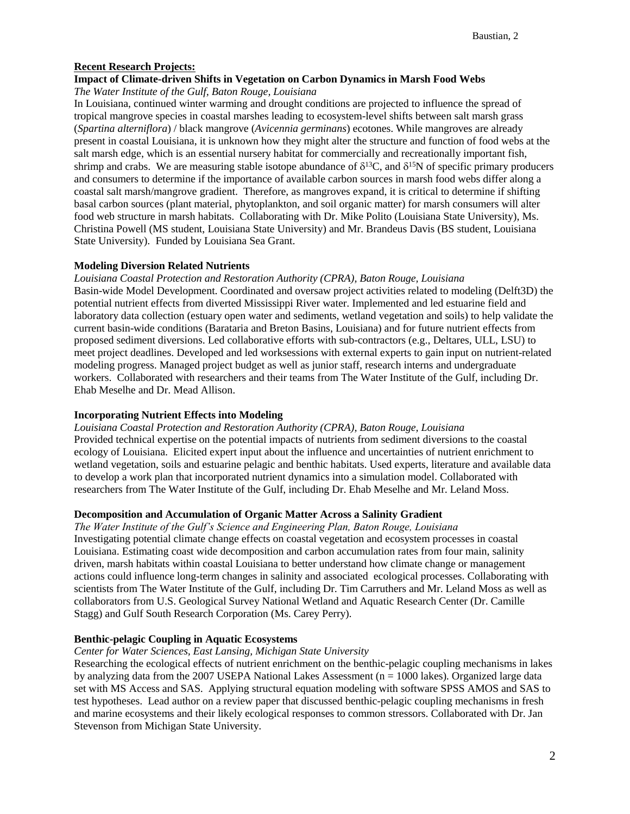#### **Recent Research Projects:**

#### **Impact of Climate-driven Shifts in Vegetation on Carbon Dynamics in Marsh Food Webs**

*The Water Institute of the Gulf, Baton Rouge, Louisiana*

In Louisiana, continued winter warming and drought conditions are projected to influence the spread of tropical mangrove species in coastal marshes leading to ecosystem-level shifts between salt marsh grass (*Spartina alterniflora*) / black mangrove (*Avicennia germinans*) ecotones. While mangroves are already present in coastal Louisiana, it is unknown how they might alter the structure and function of food webs at the salt marsh edge, which is an essential nursery habitat for commercially and recreationally important fish, shrimp and crabs. We are measuring stable isotope abundance of  $\delta^{13}C$ , and  $\delta^{15}N$  of specific primary producers and consumers to determine if the importance of available carbon sources in marsh food webs differ along a coastal salt marsh/mangrove gradient. Therefore, as mangroves expand, it is critical to determine if shifting basal carbon sources (plant material, phytoplankton, and soil organic matter) for marsh consumers will alter food web structure in marsh habitats. Collaborating with Dr. Mike Polito (Louisiana State University), Ms. Christina Powell (MS student, Louisiana State University) and Mr. Brandeus Davis (BS student, Louisiana State University). Funded by Louisiana Sea Grant.

#### **Modeling Diversion Related Nutrients**

*Louisiana Coastal Protection and Restoration Authority (CPRA), Baton Rouge, Louisiana* Basin-wide Model Development. Coordinated and oversaw project activities related to modeling (Delft3D) the potential nutrient effects from diverted Mississippi River water. Implemented and led estuarine field and laboratory data collection (estuary open water and sediments, wetland vegetation and soils) to help validate the current basin-wide conditions (Barataria and Breton Basins, Louisiana) and for future nutrient effects from proposed sediment diversions. Led collaborative efforts with sub-contractors (e.g., Deltares, ULL, LSU) to meet project deadlines. Developed and led worksessions with external experts to gain input on nutrient-related modeling progress. Managed project budget as well as junior staff, research interns and undergraduate workers. Collaborated with researchers and their teams from The Water Institute of the Gulf, including Dr. Ehab Meselhe and Dr. Mead Allison.

#### **Incorporating Nutrient Effects into Modeling**

*Louisiana Coastal Protection and Restoration Authority (CPRA), Baton Rouge, Louisiana* Provided technical expertise on the potential impacts of nutrients from sediment diversions to the coastal ecology of Louisiana. Elicited expert input about the influence and uncertainties of nutrient enrichment to

wetland vegetation, soils and estuarine pelagic and benthic habitats. Used experts, literature and available data to develop a work plan that incorporated nutrient dynamics into a simulation model. Collaborated with researchers from The Water Institute of the Gulf, including Dr. Ehab Meselhe and Mr. Leland Moss.

## **Decomposition and Accumulation of Organic Matter Across a Salinity Gradient**

*The Water Institute of the Gulf's Science and Engineering Plan, Baton Rouge, Louisiana* Investigating potential climate change effects on coastal vegetation and ecosystem processes in coastal Louisiana. Estimating coast wide decomposition and carbon accumulation rates from four main, salinity driven, marsh habitats within coastal Louisiana to better understand how climate change or management actions could influence long-term changes in salinity and associated ecological processes. Collaborating with scientists from The Water Institute of the Gulf, including Dr. Tim Carruthers and Mr. Leland Moss as well as collaborators from U.S. Geological Survey National Wetland and Aquatic Research Center (Dr. Camille Stagg) and Gulf South Research Corporation (Ms. Carey Perry).

#### **Benthic-pelagic Coupling in Aquatic Ecosystems**

#### *Center for Water Sciences, East Lansing, Michigan State University*

Researching the ecological effects of nutrient enrichment on the benthic-pelagic coupling mechanisms in lakes by analyzing data from the 2007 USEPA National Lakes Assessment ( $n = 1000$  lakes). Organized large data set with MS Access and SAS. Applying structural equation modeling with software SPSS AMOS and SAS to test hypotheses. Lead author on a review paper that discussed benthic-pelagic coupling mechanisms in fresh and marine ecosystems and their likely ecological responses to common stressors. Collaborated with Dr. Jan Stevenson from Michigan State University.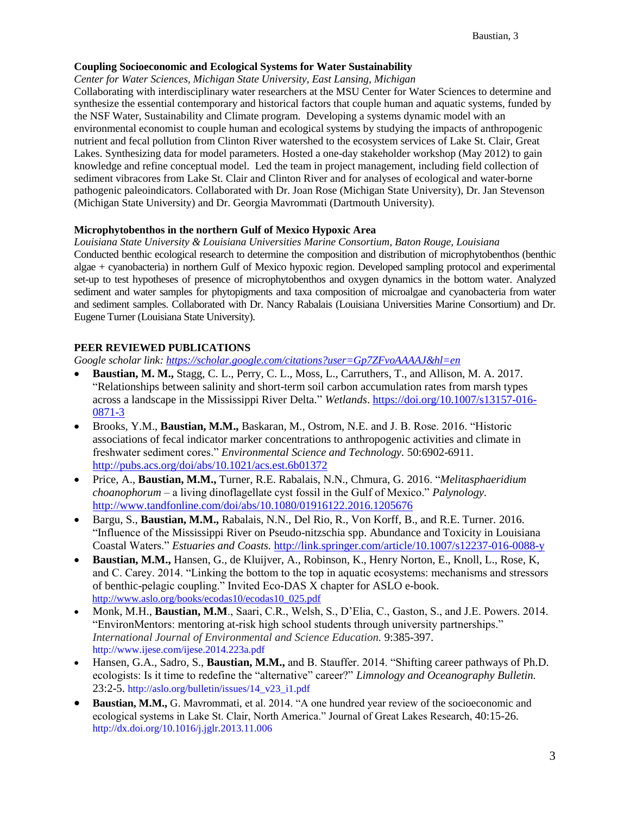#### **Coupling Socioeconomic and Ecological Systems for Water Sustainability**

*Center for Water Sciences, Michigan State University, East Lansing, Michigan*

Collaborating with interdisciplinary water researchers at the MSU Center for Water Sciences to determine and synthesize the essential contemporary and historical factors that couple human and aquatic systems, funded by the NSF Water, Sustainability and Climate program. Developing a systems dynamic model with an environmental economist to couple human and ecological systems by studying the impacts of anthropogenic nutrient and fecal pollution from Clinton River watershed to the ecosystem services of Lake St. Clair, Great Lakes. Synthesizing data for model parameters. Hosted a one-day stakeholder workshop (May 2012) to gain knowledge and refine conceptual model. Led the team in project management, including field collection of sediment vibracores from Lake St. Clair and Clinton River and for analyses of ecological and water-borne pathogenic paleoindicators. Collaborated with Dr. Joan Rose (Michigan State University), Dr. Jan Stevenson (Michigan State University) and Dr. Georgia Mavrommati (Dartmouth University).

#### **Microphytobenthos in the northern Gulf of Mexico Hypoxic Area**

*Louisiana State University & Louisiana Universities Marine Consortium, Baton Rouge, Louisiana* Conducted benthic ecological research to determine the composition and distribution of microphytobenthos (benthic algae + cyanobacteria) in northern Gulf of Mexico hypoxic region. Developed sampling protocol and experimental set-up to test hypotheses of presence of microphytobenthos and oxygen dynamics in the bottom water. Analyzed sediment and water samples for phytopigments and taxa composition of microalgae and cyanobacteria from water and sediment samples. Collaborated with Dr. Nancy Rabalais (Louisiana Universities Marine Consortium) and Dr. Eugene Turner (Louisiana State University).

## **PEER REVIEWED PUBLICATIONS**

*Google scholar link: <https://scholar.google.com/citations?user=Gp7ZFvoAAAAJ&hl=en>*

- **Baustian, M. M.,** Stagg, C. L., Perry, C. L., Moss, L., Carruthers, T., and Allison, M. A. 2017. "Relationships between salinity and short-term soil carbon accumulation rates from marsh types across a landscape in the Mississippi River Delta." *Wetlands*. [https://doi.org/10.1007/s13157-016-](https://doi.org/10.1007/s13157-016-0871-3) [0871-3](https://doi.org/10.1007/s13157-016-0871-3)
- Brooks, Y.M., **Baustian, M.M.,** Baskaran, M., Ostrom, N.E. and J. B. Rose. 2016. "Historic associations of fecal indicator marker concentrations to anthropogenic activities and climate in freshwater sediment cores." *Environmental Science and Technology.* 50:6902-6911. <http://pubs.acs.org/doi/abs/10.1021/acs.est.6b01372>
- Price, A., **Baustian, M.M.,** Turner, R.E. Rabalais, N.N., Chmura, G. 2016. "*Melitasphaeridium choanophorum* – a living dinoflagellate cyst fossil in the Gulf of Mexico." *Palynology.*  <http://www.tandfonline.com/doi/abs/10.1080/01916122.2016.1205676>
- Bargu, S., **Baustian, M.M.,** Rabalais, N.N., Del Rio, R., Von Korff, B., and R.E. Turner. 2016. "Influence of the Mississippi River on Pseudo-nitzschia spp. Abundance and Toxicity in Louisiana Coastal Waters." *Estuaries and Coasts.* <http://link.springer.com/article/10.1007/s12237-016-0088-y>
- **Baustian, M.M.,** Hansen, G., de Kluijver, A., Robinson, K., Henry Norton, E., Knoll, L., Rose, K, and C. Carey. 2014. "Linking the bottom to the top in aquatic ecosystems: mechanisms and stressors of benthic-pelagic coupling." Invited Eco-DAS X chapter for ASLO e-book. [http://www.aslo.org/books/ecodas10/ecodas10\\_025.pdf](http://www.aslo.org/books/ecodas10/ecodas10_025.pdf)
- Monk, M.H., **Baustian, M.M**., Saari, C.R., Welsh, S., D'Elia, C., Gaston, S., and J.E. Powers. 2014. "EnvironMentors: mentoring at-risk high school students through university partnerships." *International Journal of Environmental and Science Education.* 9:385-397. http://www.ijese.com/ijese.2014.223a.pdf
- Hansen, G.A., Sadro, S., **Baustian, M.M.,** and B. Stauffer. 2014. "Shifting career pathways of Ph.D. ecologists: Is it time to redefine the "alternative" career?" *Limnology and Oceanography Bulletin.*  23:2-5. http://aslo.org/bulletin/issues/14\_v23\_i1.pdf
- **Baustian, M.M.,** G. Mavrommati, et al. 2014. "A one hundred year review of the socioeconomic and ecological systems in Lake St. Clair, North America." Journal of Great Lakes Research, 40:15-26. http://dx.doi.org/10.1016/j.jglr.2013.11.006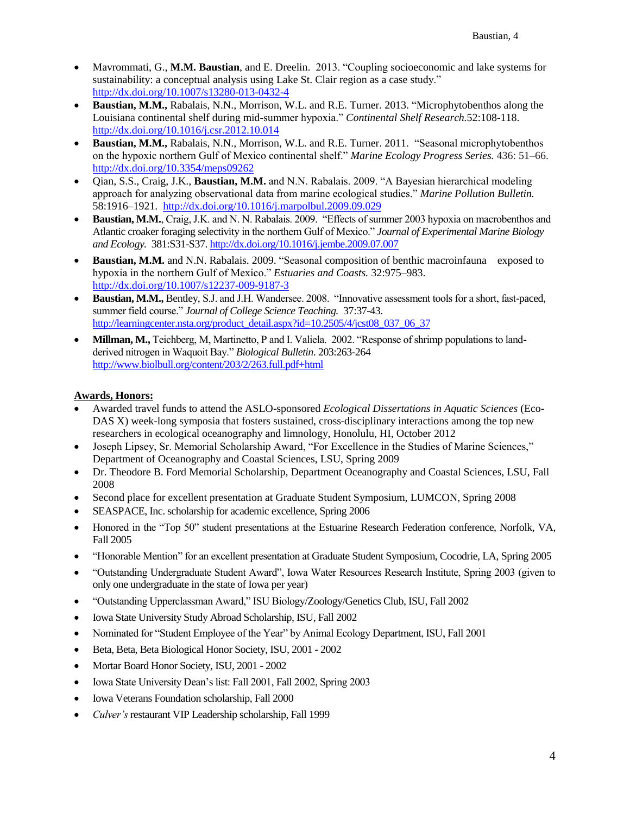- Mavrommati, G., **M.M. Baustian**, and E. Dreelin. 2013. "Coupling socioeconomic and lake systems for sustainability: a conceptual analysis using Lake St. Clair region as a case study." <http://dx.doi.org/10.1007/s13280-013-0432-4>
- **Baustian, M.M.,** Rabalais, N.N., Morrison, W.L. and R.E. Turner. 2013. "Microphytobenthos along the Louisiana continental shelf during mid-summer hypoxia." *Continental Shelf Research.*52:108-118. <http://dx.doi.org/10.1016/j.csr.2012.10.014>
- **Baustian, M.M.,** Rabalais, N.N., Morrison, W.L. and R.E. Turner. 2011. "Seasonal microphytobenthos on the hypoxic northern Gulf of Mexico continental shelf." *Marine Ecology Progress Series.* 436: 51–66. <http://dx.doi.org/10.3354/meps09262>
- Qian, S.S., Craig, J.K., **Baustian, M.M.** and N.N. Rabalais. 2009. "A Bayesian hierarchical modeling approach for analyzing observational data from marine ecological studies." *Marine Pollution Bulletin.* 58:1916–1921.<http://dx.doi.org/10.1016/j.marpolbul.2009.09.029>
- **Baustian, M.M.**, Craig, J.K. and N. N. Rabalais. 2009. "Effects of summer 2003 hypoxia on macrobenthos and Atlantic croaker foraging selectivity in the northern Gulf of Mexico." *Journal of Experimental Marine Biology and Ecology.* 381:S31-S37. <http://dx.doi.org/10.1016/j.jembe.2009.07.007>
- **Baustian, M.M.** and N.N. Rabalais. 2009. "Seasonal composition of benthic macroinfauna exposed to hypoxia in the northern Gulf of Mexico." *Estuaries and Coasts.* 32:975–983. <http://dx.doi.org/10.1007/s12237-009-9187-3>
- **Baustian, M.M.,** Bentley, S.J. and J.H. Wandersee. 2008. "Innovative assessment tools for a short, fast-paced, summer field course." *Journal of College Science Teaching.* 37:37-43. [http://learningcenter.nsta.org/product\\_detail.aspx?id=10.2505/4/jcst08\\_037\\_06\\_37](http://learningcenter.nsta.org/product_detail.aspx?id=10.2505/4/jcst08_037_06_37)
- **Millman, M.,** Teichberg, M, Martinetto, P and I. Valiela. 2002. "Response of shrimp populations to landderived nitrogen in Waquoit Bay." *Biological Bulletin*. 203:263-264 <http://www.biolbull.org/content/203/2/263.full.pdf+html>

## **Awards, Honors:**

- Awarded travel funds to attend the ASLO-sponsored *Ecological Dissertations in Aquatic Sciences* (Eco-DAS X) week-long symposia that fosters sustained, cross-disciplinary interactions among the top new researchers in ecological oceanography and limnology, Honolulu, HI, October 2012
- Joseph Lipsey, Sr. Memorial Scholarship Award, "For Excellence in the Studies of Marine Sciences," Department of Oceanography and Coastal Sciences, LSU, Spring 2009
- Dr. Theodore B. Ford Memorial Scholarship, Department Oceanography and Coastal Sciences, LSU, Fall 2008
- Second place for excellent presentation at Graduate Student Symposium, LUMCON, Spring 2008
- SEASPACE, Inc. scholarship for academic excellence, Spring 2006
- Honored in the "Top 50" student presentations at the Estuarine Research Federation conference, Norfolk, VA, Fall 2005
- "Honorable Mention" for an excellent presentation at Graduate Student Symposium, Cocodrie, LA, Spring 2005
- "Outstanding Undergraduate Student Award", Iowa Water Resources Research Institute, Spring 2003 (given to only one undergraduate in the state of Iowa per year)
- "Outstanding Upperclassman Award," ISU Biology/Zoology/Genetics Club, ISU, Fall 2002
- Iowa State University Study Abroad Scholarship, ISU, Fall 2002
- Nominated for "Student Employee of the Year" by Animal Ecology Department, ISU, Fall 2001
- Beta, Beta, Beta Biological Honor Society, ISU, 2001 2002
- Mortar Board Honor Society, ISU, 2001 2002
- Iowa State University Dean's list: Fall 2001, Fall 2002, Spring 2003
- Iowa Veterans Foundation scholarship, Fall 2000
- *Culver's*restaurant VIP Leadership scholarship, Fall 1999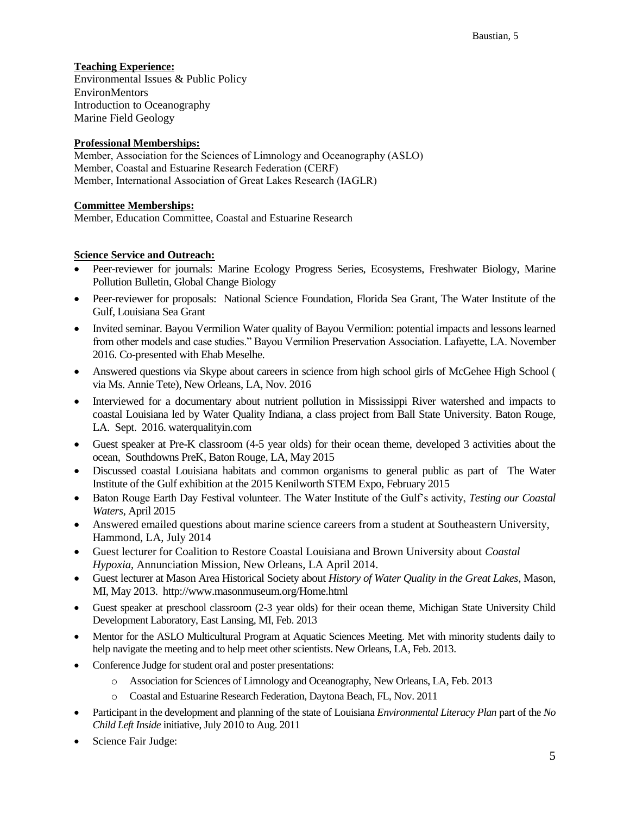## **Teaching Experience:**

Environmental Issues & Public Policy EnvironMentors Introduction to Oceanography Marine Field Geology

## **Professional Memberships:**

**Member, Association for the Sciences of Limnology and Oceanography (ASLO) Member, Coastal and Estuarine Research Federation (CERF) Member, International Association of Great Lakes Research (IAGLR)**

#### **Committee Memberships:**

Member, Education Committee, Coastal and Estuarine Research

#### **Science Service and Outreach:**

- Peer-reviewer for journals: Marine Ecology Progress Series, Ecosystems, Freshwater Biology, Marine Pollution Bulletin, Global Change Biology
- Peer-reviewer for proposals:National Science Foundation, Florida Sea Grant, The Water Institute of the Gulf, Louisiana Sea Grant
- Invited seminar. Bayou Vermilion Water quality of Bayou Vermilion: potential impacts and lessons learned from other models and case studies." Bayou Vermilion Preservation Association. Lafayette, LA. November 2016. Co-presented with Ehab Meselhe.
- Answered questions via Skype about careers in science from high school girls of McGehee High School ( via Ms. Annie Tete), New Orleans, LA, Nov. 2016
- Interviewed for a documentary about nutrient pollution in Mississippi River watershed and impacts to coastal Louisiana led by Water Quality Indiana, a class project from Ball State University. Baton Rouge, LA. Sept. 2016. waterqualityin.com
- Guest speaker at Pre-K classroom (4-5 year olds) for their ocean theme, developed 3 activities about the ocean, Southdowns PreK, Baton Rouge, LA, May 2015
- Discussed coastal Louisiana habitats and common organisms to general public as part of The Water Institute of the Gulf exhibition at the 2015 Kenilworth STEM Expo, February 2015
- Baton Rouge Earth Day Festival volunteer. The Water Institute of the Gulf's activity, *Testing our Coastal Waters*, April 2015
- Answered emailed questions about marine science careers from a student at Southeastern University, Hammond, LA, July 2014
- Guest lecturer for Coalition to Restore Coastal Louisiana and Brown University about *Coastal Hypoxia*, Annunciation Mission, New Orleans, LA April 2014.
- Guest lecturer at Mason Area Historical Society about *History of Water Quality in the Great Lakes*, Mason, MI, May 2013. http://www.masonmuseum.org/Home.html
- Guest speaker at preschool classroom (2-3 year olds) for their ocean theme, Michigan State University Child Development Laboratory, East Lansing, MI, Feb. 2013
- Mentor for the ASLO Multicultural Program at Aquatic Sciences Meeting. Met with minority students daily to help navigate the meeting and to help meet other scientists. New Orleans, LA, Feb. 2013.
- Conference Judge for student oral and poster presentations:
	- o Association for Sciences of Limnology and Oceanography, New Orleans, LA, Feb. 2013
	- o Coastal and Estuarine Research Federation, Daytona Beach, FL, Nov. 2011
- Participant in the development and planning of the state of Louisiana *Environmental Literacy Plan* part of the *No Child Left Inside* initiative, July 2010 to Aug. 2011
- Science Fair Judge: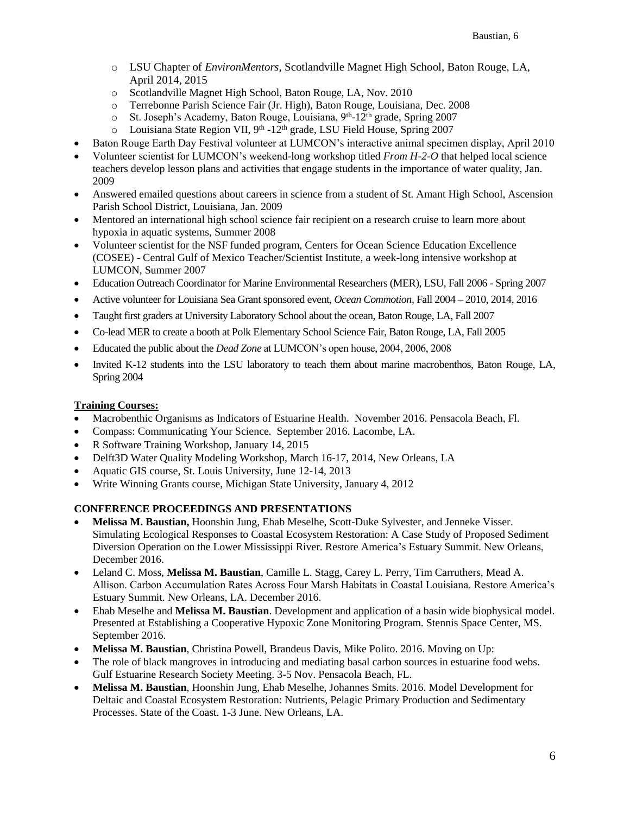- o LSU Chapter of *EnvironMentors*, Scotlandville Magnet High School, Baton Rouge, LA, April 2014, 2015
- o Scotlandville Magnet High School, Baton Rouge, LA, Nov. 2010
- o Terrebonne Parish Science Fair (Jr. High), Baton Rouge, Louisiana, Dec. 2008
- o St. Joseph's Academy, Baton Rouge, Louisiana, 9th-12th grade, Spring 2007
- o Louisiana State Region VII, 9<sup>th</sup> -12<sup>th</sup> grade, LSU Field House, Spring 2007
- Baton Rouge Earth Day Festival volunteer at LUMCON's interactive animal specimen display, April 2010
- Volunteer scientist for LUMCON's weekend-long workshop titled *From H-2-O* that helped local science teachers develop lesson plans and activities that engage students in the importance of water quality, Jan. 2009
- Answered emailed questions about careers in science from a student of St. Amant High School, Ascension Parish School District, Louisiana, Jan. 2009
- Mentored an international high school science fair recipient on a research cruise to learn more about hypoxia in aquatic systems, Summer 2008
- Volunteer scientist for the NSF funded program, Centers for Ocean Science Education Excellence (COSEE) - Central Gulf of Mexico Teacher/Scientist Institute, a week-long intensive workshop at LUMCON, Summer 2007
- Education Outreach Coordinator for Marine Environmental Researchers (MER), LSU, Fall 2006 Spring 2007
- Active volunteer for Louisiana Sea Grant sponsored event, *Ocean Commotion*, Fall 2004 2010, 2014, 2016
- Taught first graders at University Laboratory School about the ocean, Baton Rouge, LA, Fall 2007
- Co-lead MER to create a booth at Polk Elementary School Science Fair, Baton Rouge, LA, Fall 2005
- Educated the public about the *Dead Zone* at LUMCON's open house, 2004, 2006, 2008
- Invited K-12 students into the LSU laboratory to teach them about marine macrobenthos, Baton Rouge, LA, Spring 2004

## **Training Courses:**

- Macrobenthic Organisms as Indicators of Estuarine Health. November 2016. Pensacola Beach, Fl.
- Compass: Communicating Your Science. September 2016. Lacombe, LA.
- R Software Training Workshop, January 14, 2015
- Delft3D Water Quality Modeling Workshop, March 16-17, 2014, New Orleans, LA
- Aquatic GIS course, St. Louis University, June 12-14, 2013
- Write Winning Grants course, Michigan State University, January 4, 2012

## **CONFERENCE PROCEEDINGS AND PRESENTATIONS**

- **Melissa M. Baustian,** Hoonshin Jung, Ehab Meselhe, Scott-Duke Sylvester, and Jenneke Visser. Simulating Ecological Responses to Coastal Ecosystem Restoration: A Case Study of Proposed Sediment Diversion Operation on the Lower Mississippi River. Restore America's Estuary Summit. New Orleans, December 2016.
- Leland C. Moss, **Melissa M. Baustian**, Camille L. Stagg, Carey L. Perry, Tim Carruthers, Mead A. Allison. Carbon Accumulation Rates Across Four Marsh Habitats in Coastal Louisiana. Restore America's Estuary Summit. New Orleans, LA. December 2016.
- Ehab Meselhe and **Melissa M. Baustian**. Development and application of a basin wide biophysical model. Presented at Establishing a Cooperative Hypoxic Zone Monitoring Program. Stennis Space Center, MS. September 2016.
- **Melissa M. Baustian**, Christina Powell, Brandeus Davis, Mike Polito. 2016. Moving on Up:
- The role of black mangroves in introducing and mediating basal carbon sources in estuarine food webs. Gulf Estuarine Research Society Meeting. 3-5 Nov. Pensacola Beach, FL.
- **Melissa M. Baustian**, Hoonshin Jung, Ehab Meselhe, Johannes Smits. 2016. Model Development for Deltaic and Coastal Ecosystem Restoration: Nutrients, Pelagic Primary Production and Sedimentary Processes. State of the Coast. 1-3 June. New Orleans, LA.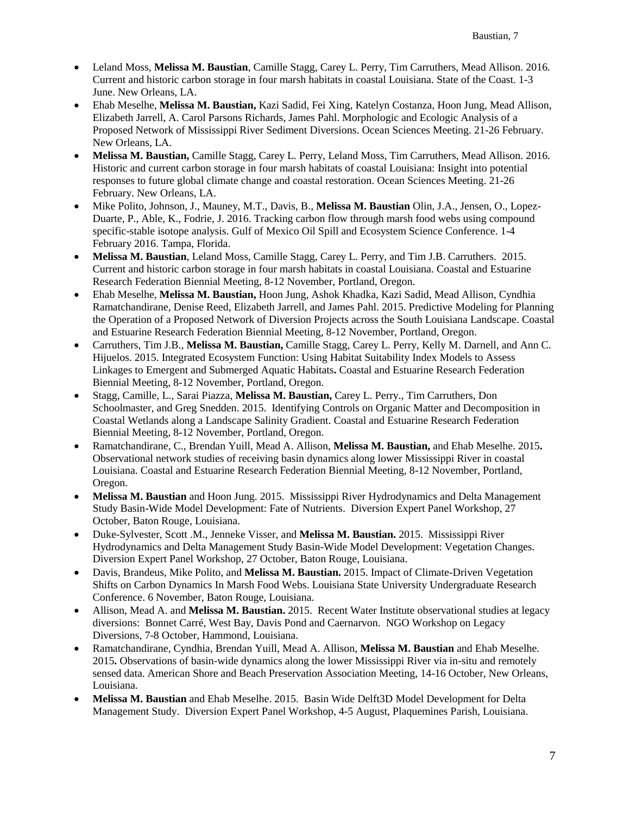- Leland Moss, **Melissa M. Baustian**, Camille Stagg, Carey L. Perry, Tim Carruthers, Mead Allison. 2016. Current and historic carbon storage in four marsh habitats in coastal Louisiana. State of the Coast. 1-3 June. New Orleans, LA.
- Ehab Meselhe, **Melissa M. Baustian,** Kazi Sadid, Fei Xing, Katelyn Costanza, Hoon Jung, Mead Allison, Elizabeth Jarrell, A. Carol Parsons Richards, James Pahl. Morphologic and Ecologic Analysis of a Proposed Network of Mississippi River Sediment Diversions. Ocean Sciences Meeting. 21-26 February. New Orleans, LA.
- **Melissa M. Baustian,** Camille Stagg, Carey L. Perry, Leland Moss, Tim Carruthers, Mead Allison. 2016. Historic and current carbon storage in four marsh habitats of coastal Louisiana: Insight into potential responses to future global climate change and coastal restoration. Ocean Sciences Meeting. 21-26 February. New Orleans, LA.
- Mike Polito, Johnson, J., Mauney, M.T., Davis, B., **Melissa M. Baustian** Olin, J.A., Jensen, O., Lopez-Duarte, P., Able, K., Fodrie, J. 2016. Tracking carbon flow through marsh food webs using compound specific-stable isotope analysis. Gulf of Mexico Oil Spill and Ecosystem Science Conference. 1-4 February 2016. Tampa, Florida.
- **Melissa M. Baustian**, Leland Moss, Camille Stagg, Carey L. Perry, and Tim J.B. Carruthers. 2015. Current and historic carbon storage in four marsh habitats in coastal Louisiana. Coastal and Estuarine Research Federation Biennial Meeting, 8-12 November, Portland, Oregon.
- Ehab Meselhe, **Melissa M. Baustian,** Hoon Jung, Ashok Khadka, Kazi Sadid, Mead Allison, Cyndhia Ramatchandirane, Denise Reed, Elizabeth Jarrell, and James Pahl. 2015. Predictive Modeling for Planning the Operation of a Proposed Network of Diversion Projects across the South Louisiana Landscape. Coastal and Estuarine Research Federation Biennial Meeting, 8-12 November, Portland, Oregon.
- Carruthers, Tim J.B., **Melissa M. Baustian,** Camille Stagg, Carey L. Perry, Kelly M. Darnell, and Ann C. Hijuelos. 2015. Integrated Ecosystem Function: Using Habitat Suitability Index Models to Assess Linkages to Emergent and Submerged Aquatic Habitats**.** Coastal and Estuarine Research Federation Biennial Meeting, 8-12 November, Portland, Oregon.
- Stagg, Camille, L., Sarai Piazza, **Melissa M. Baustian,** Carey L. Perry., Tim Carruthers, Don Schoolmaster, and Greg Snedden. 2015. Identifying Controls on Organic Matter and Decomposition in Coastal Wetlands along a Landscape Salinity Gradient. Coastal and Estuarine Research Federation Biennial Meeting, 8-12 November, Portland, Oregon.
- Ramatchandirane, C., Brendan Yuill, Mead A. Allison, **Melissa M. Baustian,** and Ehab Meselhe. 2015**.**  Observational network studies of receiving basin dynamics along lower Mississippi River in coastal Louisiana. Coastal and Estuarine Research Federation Biennial Meeting, 8-12 November, Portland, Oregon.
- **Melissa M. Baustian** and Hoon Jung. 2015. Mississippi River Hydrodynamics and Delta Management Study Basin-Wide Model Development: Fate of Nutrients. Diversion Expert Panel Workshop, 27 October, Baton Rouge, Louisiana.
- Duke-Sylvester, Scott .M., Jenneke Visser, and **Melissa M. Baustian.** 2015. Mississippi River Hydrodynamics and Delta Management Study Basin-Wide Model Development: Vegetation Changes. Diversion Expert Panel Workshop, 27 October, Baton Rouge, Louisiana.
- Davis, Brandeus, Mike Polito, and **Melissa M. Baustian.** 2015. Impact of Climate-Driven Vegetation Shifts on Carbon Dynamics In Marsh Food Webs. Louisiana State University Undergraduate Research Conference. 6 November, Baton Rouge, Louisiana.
- Allison, Mead A. and **Melissa M. Baustian.** 2015. Recent Water Institute observational studies at legacy diversions: Bonnet Carré, West Bay, Davis Pond and Caernarvon. NGO Workshop on Legacy Diversions, 7-8 October, Hammond, Louisiana.
- Ramatchandirane, Cyndhia, Brendan Yuill, Mead A. Allison, **Melissa M. Baustian** and Ehab Meselhe. 2015**.** Observations of basin-wide dynamics along the lower Mississippi River via in-situ and remotely sensed data. American Shore and Beach Preservation Association Meeting, 14-16 October, New Orleans, Louisiana.
- **Melissa M. Baustian** and Ehab Meselhe. 2015. Basin Wide Delft3D Model Development for Delta Management Study. Diversion Expert Panel Workshop, 4-5 August, Plaquemines Parish, Louisiana.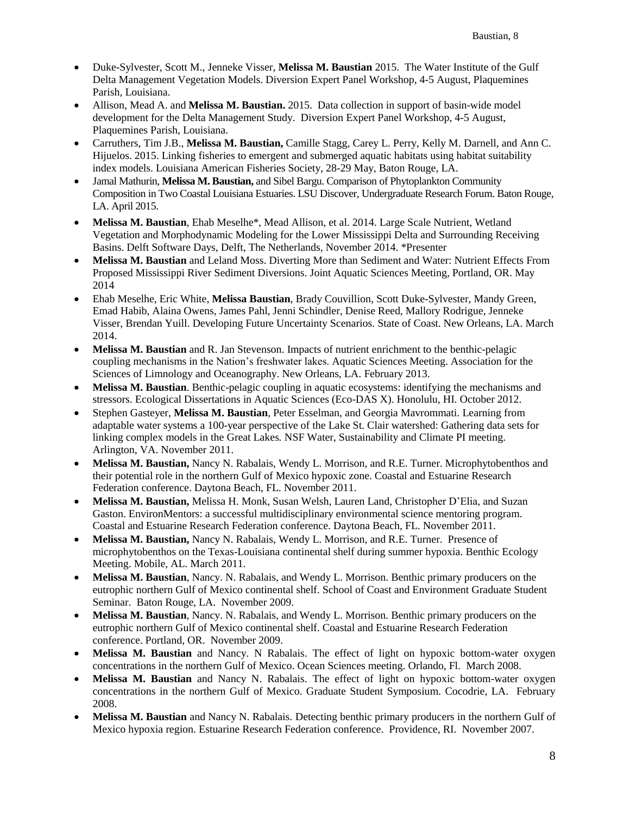- Duke-Sylvester, Scott M., Jenneke Visser, **Melissa M. Baustian** 2015. The Water Institute of the Gulf Delta Management Vegetation Models. Diversion Expert Panel Workshop, 4-5 August, Plaquemines Parish, Louisiana.
- Allison, Mead A. and **Melissa M. Baustian.** 2015. Data collection in support of basin-wide model development for the Delta Management Study. Diversion Expert Panel Workshop, 4-5 August, Plaquemines Parish, Louisiana.
- Carruthers, Tim J.B., **Melissa M. Baustian,** Camille Stagg, Carey L. Perry, Kelly M. Darnell, and Ann C. Hijuelos. 2015. Linking fisheries to emergent and submerged aquatic habitats using habitat suitability index models. Louisiana American Fisheries Society, 28-29 May, Baton Rouge, LA.
- Jamal Mathurin, **Melissa M. Baustian,** and Sibel Bargu. Comparison of Phytoplankton Community Composition in Two Coastal Louisiana Estuaries. LSU Discover, Undergraduate Research Forum. Baton Rouge, LA. April 2015.
- **Melissa M. Baustian**, Ehab Meselhe\*, Mead Allison, et al. 2014. Large Scale Nutrient, Wetland Vegetation and Morphodynamic Modeling for the Lower Mississippi Delta and Surrounding Receiving Basins. Delft Software Days, Delft, The Netherlands, November 2014. \*Presenter
- **Melissa M. Baustian** and Leland Moss. Diverting More than Sediment and Water: Nutrient Effects From Proposed Mississippi River Sediment Diversions. Joint Aquatic Sciences Meeting, Portland, OR. May 2014
- Ehab Meselhe, Eric White, **Melissa Baustian**, Brady Couvillion, Scott Duke-Sylvester, Mandy Green, Emad Habib, Alaina Owens, James Pahl, Jenni Schindler, Denise Reed, Mallory Rodrigue, Jenneke Visser, Brendan Yuill. Developing Future Uncertainty Scenarios. State of Coast. New Orleans, LA. March 2014.
- **Melissa M. Baustian** and R. Jan Stevenson. Impacts of nutrient enrichment to the benthic-pelagic coupling mechanisms in the Nation's freshwater lakes. Aquatic Sciences Meeting. Association for the Sciences of Limnology and Oceanography. New Orleans, LA. February 2013.
- **Melissa M. Baustian**. Benthic-pelagic coupling in aquatic ecosystems: identifying the mechanisms and stressors. Ecological Dissertations in Aquatic Sciences (Eco-DAS X). Honolulu, HI. October 2012.
- Stephen Gasteyer, **Melissa M. Baustian**, Peter Esselman, and Georgia Mavrommati. Learning from adaptable water systems a 100-year perspective of the Lake St. Clair watershed: Gathering data sets for linking complex models in the Great Lakes*.* NSF Water, Sustainability and Climate PI meeting. Arlington, VA. November 2011.
- **Melissa M. Baustian,** Nancy N. Rabalais, Wendy L. Morrison, and R.E. Turner. Microphytobenthos and their potential role in the northern Gulf of Mexico hypoxic zone. Coastal and Estuarine Research Federation conference. Daytona Beach, FL. November 2011.
- **Melissa M. Baustian,** Melissa H. Monk, Susan Welsh, Lauren Land, Christopher D'Elia, and Suzan Gaston. EnvironMentors: a successful multidisciplinary environmental science mentoring program. Coastal and Estuarine Research Federation conference. Daytona Beach, FL. November 2011.
- **Melissa M. Baustian,** Nancy N. Rabalais, Wendy L. Morrison, and R.E. Turner. Presence of microphytobenthos on the Texas-Louisiana continental shelf during summer hypoxia. Benthic Ecology Meeting. Mobile, AL. March 2011.
- **Melissa M. Baustian**, Nancy. N. Rabalais, and Wendy L. Morrison. Benthic primary producers on the eutrophic northern Gulf of Mexico continental shelf. School of Coast and Environment Graduate Student Seminar. Baton Rouge, LA. November 2009.
- **Melissa M. Baustian**, Nancy. N. Rabalais, and Wendy L. Morrison. Benthic primary producers on the eutrophic northern Gulf of Mexico continental shelf. Coastal and Estuarine Research Federation conference. Portland, OR. November 2009.
- **Melissa M. Baustian** and Nancy. N Rabalais. The effect of light on hypoxic bottom-water oxygen concentrations in the northern Gulf of Mexico. Ocean Sciences meeting. Orlando, Fl. March 2008.
- **Melissa M. Baustian** and Nancy N. Rabalais. The effect of light on hypoxic bottom-water oxygen concentrations in the northern Gulf of Mexico. Graduate Student Symposium. Cocodrie, LA. February 2008.
- **Melissa M. Baustian** and Nancy N. Rabalais. Detecting benthic primary producers in the northern Gulf of Mexico hypoxia region. Estuarine Research Federation conference. Providence, RI. November 2007.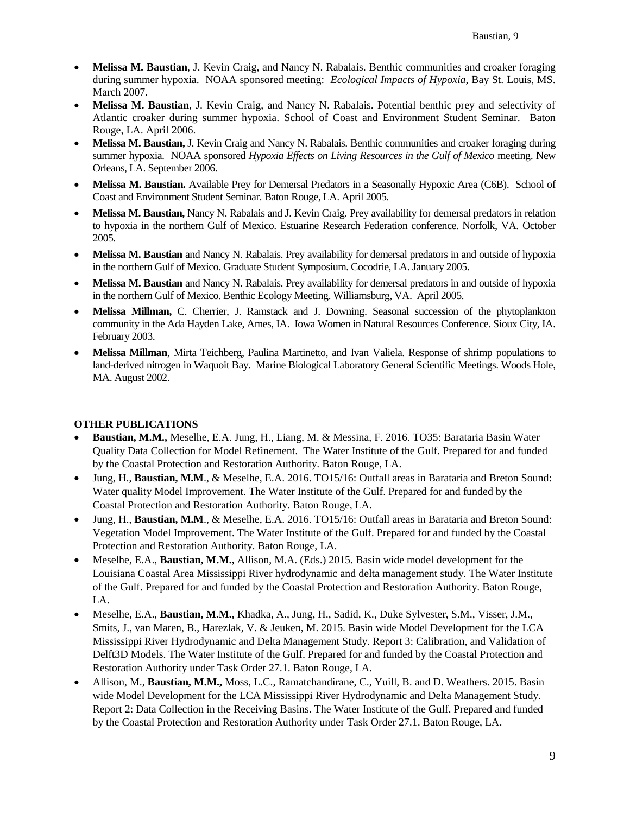- **Melissa M. Baustian**, J. Kevin Craig, and Nancy N. Rabalais. Benthic communities and croaker foraging during summer hypoxia. NOAA sponsored meeting: *Ecological Impacts of Hypoxia*, Bay St. Louis, MS. March 2007.
- **Melissa M. Baustian**, J. Kevin Craig, and Nancy N. Rabalais. Potential benthic prey and selectivity of Atlantic croaker during summer hypoxia. School of Coast and Environment Student Seminar. Baton Rouge, LA. April 2006.
- **Melissa M. Baustian,** J. Kevin Craig and Nancy N. Rabalais. Benthic communities and croaker foraging during summer hypoxia. NOAA sponsored *Hypoxia Effects on Living Resources in the Gulf of Mexico* meeting. New Orleans, LA. September 2006.
- **Melissa M. Baustian.** Available Prey for Demersal Predators in a Seasonally Hypoxic Area (C6B). School of Coast and Environment Student Seminar. Baton Rouge, LA. April 2005.
- **Melissa M. Baustian,** Nancy N. Rabalais and J. Kevin Craig. Prey availability for demersal predators in relation to hypoxia in the northern Gulf of Mexico. Estuarine Research Federation conference. Norfolk, VA. October 2005.
- **Melissa M. Baustian** and Nancy N. Rabalais. Prey availability for demersal predators in and outside of hypoxia in the northern Gulf of Mexico. Graduate Student Symposium. Cocodrie, LA. January 2005.
- **Melissa M. Baustian** and Nancy N. Rabalais. Prey availability for demersal predators in and outside of hypoxia in the northern Gulf of Mexico. Benthic Ecology Meeting. Williamsburg, VA. April 2005.
- **Melissa Millman,** C. Cherrier, J. Ramstack and J. Downing. Seasonal succession of the phytoplankton community in the Ada Hayden Lake, Ames, IA. Iowa Women in Natural Resources Conference. Sioux City, IA. February 2003.
- **Melissa Millman**, Mirta Teichberg, Paulina Martinetto, and Ivan Valiela. Response of shrimp populations to land-derived nitrogen in Waquoit Bay. Marine Biological Laboratory General Scientific Meetings. Woods Hole, MA. August 2002.

## **OTHER PUBLICATIONS**

- **Baustian, M.M.,** Meselhe, E.A. Jung, H., Liang, M. & Messina, F. 2016. TO35: Barataria Basin Water Quality Data Collection for Model Refinement. The Water Institute of the Gulf. Prepared for and funded by the Coastal Protection and Restoration Authority. Baton Rouge, LA.
- Jung, H., **Baustian, M.M**., & Meselhe, E.A. 2016. TO15/16: Outfall areas in Barataria and Breton Sound: Water quality Model Improvement. The Water Institute of the Gulf. Prepared for and funded by the Coastal Protection and Restoration Authority. Baton Rouge, LA.
- Jung, H., **Baustian, M.M**., & Meselhe, E.A. 2016. TO15/16: Outfall areas in Barataria and Breton Sound: Vegetation Model Improvement. The Water Institute of the Gulf. Prepared for and funded by the Coastal Protection and Restoration Authority. Baton Rouge, LA.
- Meselhe, E.A., **Baustian, M.M.,** Allison, M.A. (Eds.) 2015. Basin wide model development for the Louisiana Coastal Area Mississippi River hydrodynamic and delta management study. The Water Institute of the Gulf. Prepared for and funded by the Coastal Protection and Restoration Authority. Baton Rouge, LA.
- Meselhe, E.A., **Baustian, M.M.,** Khadka, A., Jung, H., Sadid, K., Duke Sylvester, S.M., Visser, J.M., Smits, J., van Maren, B., Harezlak, V. & Jeuken, M. 2015. Basin wide Model Development for the LCA Mississippi River Hydrodynamic and Delta Management Study. Report 3: Calibration, and Validation of Delft3D Models. The Water Institute of the Gulf. Prepared for and funded by the Coastal Protection and Restoration Authority under Task Order 27.1. Baton Rouge, LA.
- Allison, M., **Baustian, M.M.,** Moss, L.C., Ramatchandirane, C., Yuill, B. and D. Weathers. 2015. Basin wide Model Development for the LCA Mississippi River Hydrodynamic and Delta Management Study. Report 2: Data Collection in the Receiving Basins. The Water Institute of the Gulf. Prepared and funded by the Coastal Protection and Restoration Authority under Task Order 27.1. Baton Rouge, LA.